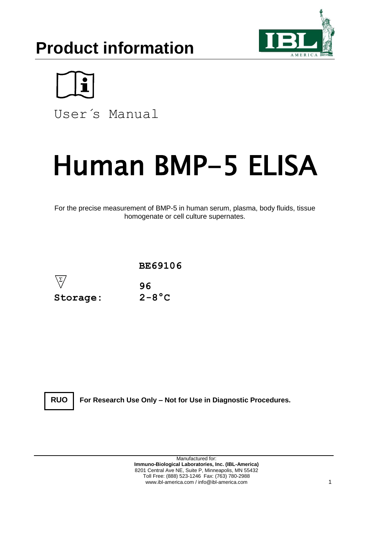# **Product information**





User´s Manual

# Human BMP-5 ELISA

For the precise measurement of BMP-5 in human serum, plasma, body fluids, tissue homogenate or cell culture supernates.



**RUO**

**For Research Use Only – Not for Use in Diagnostic Procedures.**

Manufactured for: **Immuno-Biological Laboratories, Inc. (IBL-America)** 8201 Central Ave NE, Suite P, Minneapolis, MN 55432 Toll Free: (888) 523-1246 Fax: (763) 780-2988 www.ibl-america.com / info@ibl-america.com 1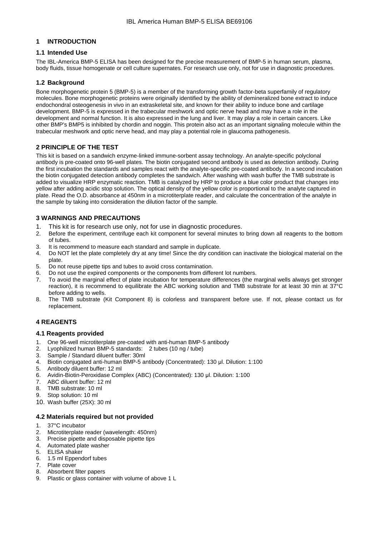# **1 INTRODUCTION**

# **1.1 Intended Use**

The IBL-America BMP-5 ELISA has been designed for the precise measurement of BMP-5 in human serum, plasma, body fluids, tissue homogenate or cell culture supernates. For research use only, not for use in diagnostic procedures.

# **1.2 Background**

Bone morphogenetic protein 5 (BMP-5) is a member of the transforming growth factor-beta superfamily of regulatory molecules. Bone morphogenetic proteins were originally identified by the ability of demineralized bone extract to induce endochondral osteogenesis in vivo in an extraskeletal site, and known for their ability to induce bone and cartilage development. BMP-5 is expressed in the trabecular meshwork and optic nerve head and may have a role in the development and normal function. It is also expressed in the lung and liver. It may play a role in certain cancers. Like other BMP's BMP5 is inhibited by chordin and noggin. This protein also act as an important signaling molecule within the trabecular meshwork and optic nerve head, and may play a potential role in glaucoma pathogenesis.

# **2 PRINCIPLE OF THE TEST**

This kit is based on a sandwich enzyme-linked immune-sorbent assay technology. An analyte-specific polyclonal antibody is pre-coated onto 96-well plates. The biotin conjugated second antibody is used as detection antibody. During the first incubation the standards and samples react with the analyte-specific pre-coated antibody. In a second incubation the biotin conjugated detection antibody completes the sandwich. After washing with wash buffer the TMB substrate is added to visualize HRP enzymatic reaction. TMB is catalyzed by HRP to produce a blue color product that changes into yellow after adding acidic stop solution. The optical density of the yellow color is proportional to the analyte captured in plate. Read the O.D. absorbance at 450nm in a microtiterplate reader, and calculate the concentration of the analyte in the sample by taking into consideration the dilution factor of the sample.

# **3 WARNINGS AND PRECAUTIONS**

- 1. This kit is for research use only, not for use in diagnostic procedures.
- 2. Before the experiment, centrifuge each kit component for several minutes to bring down all reagents to the bottom of tubes.
- 3. It is recommend to measure each standard and sample in duplicate.
- 4. Do NOT let the plate completely dry at any time! Since the dry condition can inactivate the biological material on the plate.
- 5. Do not reuse pipette tips and tubes to avoid cross contamination.
- 6. Do not use the expired components or the components from different lot numbers.
- 7. To avoid the marginal effect of plate incubation for temperature differences (the marginal wells always get stronger reaction), it is recommend to equilibrate the ABC working solution and TMB substrate for at least 30 min at 37°C before adding to wells.
- 8. The TMB substrate (Kit Component 8) is colorless and transparent before use. If not, please contact us for replacement.

# **4 REAGENTS**

#### **4.1 Reagents provided**

- 1. One 96-well microtiterplate pre-coated with anti-human BMP-5 antibody
- 2. Lyophilized human BMP-5 standards: 2 tubes (10 ng / tube)
- 3. Sample / Standard diluent buffer: 30ml
- 4. Biotin conjugated anti-human BMP-5 antibody (Concentrated): 130 μl. Dilution: 1:100
- 5. Antibody diluent buffer: 12 ml
- 6. Avidin-Biotin-Peroxidase Complex (ABC) (Concentrated): 130 μl. Dilution: 1:100
- 7. ABC diluent buffer: 12 ml
- 8. TMB substrate: 10 ml
- 9. Stop solution: 10 ml
- 10. Wash buffer (25X): 30 ml

#### **4.2 Materials required but not provided**

- 1. 37°C incubator
- 2. Microtiterplate reader (wavelength: 450nm)
- 3. Precise pipette and disposable pipette tips
- 4. Automated plate washer
- 5. ELISA shaker
- 6. 1.5 ml Eppendorf tubes
- Plate cover
- 8. Absorbent filter papers<br>9. Plastic or glass contain
- Plastic or glass container with volume of above 1 L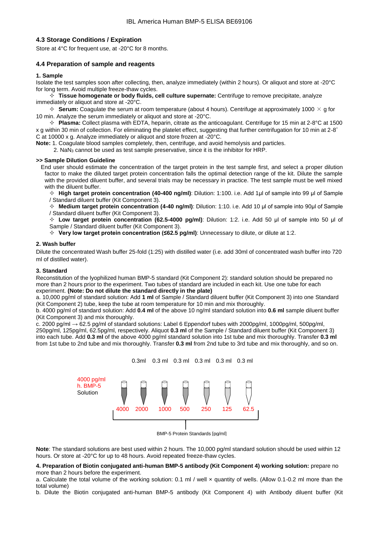# **4.3 Storage Conditions / Expiration**

Store at 4°C for frequent use, at -20°C for 8 months.

## **4.4 Preparation of sample and reagents**

#### **1. Sample**

Isolate the test samples soon after collecting, then, analyze immediately (within 2 hours). Or aliquot and store at -20°C for long term. Avoid multiple freeze-thaw cycles.

 **Tissue homogenate or body fluids, cell culture supernate:** Centrifuge to remove precipitate, analyze immediately or aliquot and store at -20°C.

 $\div$  **Serum:** Coagulate the serum at room temperature (about 4 hours). Centrifuge at approximately 1000  $\times$  g for 10 min. Analyze the serum immediately or aliquot and store at -20°C.

 $\div$  **Plasma:** Collect plasma with EDTA, heparin, citrate as the anticoagulant. Centrifuge for 15 min at 2-8°C at 1500 x g within 30 min of collection. For eliminating the platelet effect, suggesting that further centrifugation for 10 min at 2-8° C at 10000 x g. Analyze immediately or aliquot and store frozen at -20°C.

**Note:** 1. Coagulate blood samples completely, then, centrifuge, and avoid hemolysis and particles.

2. NaN<sub>3</sub> cannot be used as test sample preservative, since it is the inhibitor for HRP.

#### **>> Sample Dilution Guideline**

End user should estimate the concentration of the target protein in the test sample first, and select a proper dilution factor to make the diluted target protein concentration falls the optimal detection range of the kit. Dilute the sample with the provided diluent buffer, and several trials may be necessary in practice. The test sample must be well mixed with the diluent buffer.

 **High target protein concentration (40-400 ng/ml)**: Dilution: 1:100. i.e. Add 1μl of sample into 99 μl of Sample / Standard diluent buffer (Kit Component 3).

 **Medium target protein concentration (4-40 ng/ml)**: Dilution: 1:10. i.e. Add 10 μl of sample into 90μl of Sample / Standard diluent buffer (Kit Component 3).

 **Low target protein concentration (62.5-4000 pg/ml)**: Dilution: 1:2. i.e. Add 50 μl of sample into 50 μl of Sample / Standard diluent buffer (Kit Component 3).

**Very low target protein concentration (≤62.5 pg/ml)**: Unnecessary to dilute, or dilute at 1:2.

#### **2. Wash buffer**

Dilute the concentrated Wash buffer 25-fold (1:25) with distilled water (i.e. add 30ml of concentrated wash buffer into 720 ml of distilled water).

#### **3. Standard**

Reconstitution of the lyophilized human BMP-5 standard (Kit Component 2): standard solution should be prepared no more than 2 hours prior to the experiment. Two tubes of standard are included in each kit. Use one tube for each experiment. **(Note: Do not dilute the standard directly in the plate)**

a. 10,000 pg/ml of standard solution: Add **1 ml** of Sample / Standard diluent buffer (Kit Component 3) into one Standard (Kit Component 2) tube, keep the tube at room temperature for 10 min and mix thoroughly.

b. 4000 pg/ml of standard solution: Add **0.4 ml** of the above 10 ng/ml standard solution into **0.6 ml** sample diluent buffer (Kit Component 3) and mix thoroughly.

c. 2000 pg/ml → 62.5 pg/ml of standard solutions: Label 6 Eppendorf tubes with 2000pg/ml, 1000pg/ml, 500pg/ml, 250pg/ml, 125pg/ml, 62.5pg/ml, respectively. Aliquot **0.3 ml** of the Sample / Standard diluent buffer (Kit Component 3) into each tube. Add **0.3 ml** of the above 4000 pg/ml standard solution into 1st tube and mix thoroughly. Transfer **0.3 ml** from 1st tube to 2nd tube and mix thoroughly. Transfer **0.3 ml** from 2nd tube to 3rd tube and mix thoroughly, and so on.



BMP-5 Protein Standards [pg/ml]

**Note**: The standard solutions are best used within 2 hours. The 10,000 pg/ml standard solution should be used within 12 hours. Or store at -20°C for up to 48 hours. Avoid repeated freeze-thaw cycles.

#### **4. Preparation of Biotin conjugated anti-human BMP-5 antibody (Kit Component 4) working solution:** prepare no more than 2 hours before the experiment.

a. Calculate the total volume of the working solution: 0.1 ml / well x quantity of wells. (Allow 0.1-0.2 ml more than the total volume)

b. Dilute the Biotin conjugated anti-human BMP-5 antibody (Kit Component 4) with Antibody diluent buffer (Kit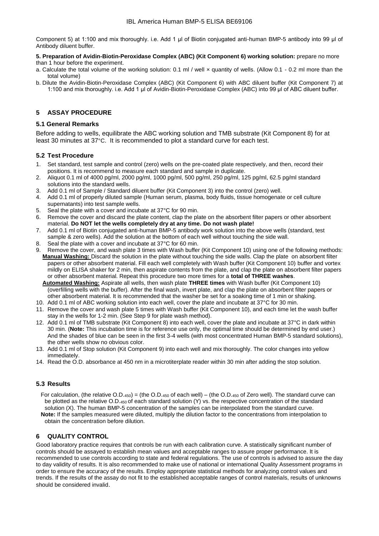Component 5) at 1:100 and mix thoroughly. i.e. Add 1 μl of Biotin conjugated anti-human BMP-5 antibody into 99 μl of Antibody diluent buffer.

#### **5. Preparation of Avidin-Biotin-Peroxidase Complex (ABC) (Kit Component 6) working solution:** prepare no more than 1 hour before the experiment.

- a. Calculate the total volume of the working solution: 0.1 ml / well × quantity of wells. (Allow 0.1 0.2 ml more than the total volume)
- b. Dilute the Avidin-Biotin-Peroxidase Complex (ABC) (Kit Component 6) with ABC diluent buffer (Kit Component 7) at 1:100 and mix thoroughly. i.e. Add 1 μl of Avidin-Biotin-Peroxidase Complex (ABC) into 99 μl of ABC diluent buffer.

# **5 ASSAY PROCEDURE**

# **5.1 General Remarks**

Before adding to wells, equilibrate the ABC working solution and TMB substrate (Kit Component 8) for at least 30 minutes at 37°C. It is recommended to plot a standard curve for each test.

# **5.2 Test Procedure**

- 1. Set standard, test sample and control (zero) wells on the pre-coated plate respectively, and then, record their positions. It is recommend to measure each standard and sample in duplicate.
- 2. Aliquot 0.1 ml of 4000 pg/ml, 2000 pg/ml, 1000 pg/ml, 500 pg/ml, 250 pg/ml, 125 pg/ml, 62.5 pg/ml standard solutions into the standard wells.
- 3. Add 0.1 ml of Sample / Standard diluent buffer (Kit Component 3) into the control (zero) well.
- 4. Add 0.1 ml of properly diluted sample (Human serum, plasma, body fluids, tissue homogenate or cell culture supernatants) into test sample wells.
- 5. Seal the plate with a cover and incubate at 37°C for 90 min.
- 6. Remove the cover and discard the plate content, clap the plate on the absorbent filter papers or other absorbent material. **Do NOT let the wells completely dry at any time. Do not wash plate!**
- 7. Add 0.1 ml of Biotin conjugated anti-human BMP-5 antibody work solution into the above wells (standard, test sample & zero wells). Add the solution at the bottom of each well without touching the side wall.  $\frac{1}{2}$ <br>8. Seal the plate with a cover and incubate at 37°C for 60 min.<br>9. Remove the cover and wash plate 3 for 60 min.
- 
- Remove the cover, and wash plate 3 times with Wash buffer (Kit Component 10) using one of the following methods: **Manual Washing:** Discard the solution in the plate without touching the side walls. Clap the plate on absorbent filter papers or other absorbent material. Fill each well completely with Wash buffer (Kit Component 10) buffer and vortex mildly on ELISA shaker for 2 min, then aspirate contents from the plate, and clap the plate on absorbent filter papers or other absorbent material. Repeat this procedure two more times for a **total of THREE washes**.

 **Automated Washing:** Aspirate all wells, then wash plate **THREE times** with Wash buffer (Kit Component 10) (overfilling wells with the buffer). After the final wash, invert plate, and clap the plate on absorbent filter papers or other absorbent material. It is recommended that the washer be set for a soaking time of 1 min or shaking.

- 10. Add 0.1 ml of ABC working solution into each well, cover the plate and incubate at 37°C for 30 min.
- 11. Remove the cover and wash plate 5 times with Wash buffer (Kit Component 10), and each time let the wash buffer stay in the wells for 1-2 min. (See Step 9 for plate wash method).
- 12. Add 0.1 ml of TMB substrate (Kit Component 8) into each well, cover the plate and incubate at 37°C in dark within 30 min. (**Note:** This incubation time is for reference use only, the optimal time should be determined by end user.) And the shades of blue can be seen in the first 3-4 wells (with most concentrated Human BMP-5 standard solutions), the other wells show no obvious color.
- 13. Add 0.1 ml of Stop solution (Kit Component 9) into each well and mix thoroughly. The color changes into yellow immediately.
- 14. Read the O.D. absorbance at 450 nm in a microtiterplate reader within 30 min after adding the stop solution.

# **5.3 Results**

 For calculation, (the relative O.D.450) = (the O.D.<sup>450</sup> of each well) – (the O.D.<sup>450</sup> of Zero well). The standard curve can be plotted as the relative O.D.<sub>450</sub> of each standard solution (Y) vs. the respective concentration of the standard solution (X). The human BMP-5 concentration of the samples can be interpolated from the standard curve.  **Note:** If the samples measured were diluted, multiply the dilution factor to the concentrations from interpolation to obtain the concentration before dilution.

# **6 QUALITY CONTROL**

Good laboratory practice requires that controls be run with each calibration curve. A statistically significant number of controls should be assayed to establish mean values and acceptable ranges to assure proper performance. It is recommended to use controls according to state and federal regulations. The use of controls is advised to assure the day to day validity of results. It is also recommended to make use of national or international Quality Assessment programs in order to ensure the accuracy of the results. Employ appropriate statistical methods for analyzing control values and trends. If the results of the assay do not fit to the established acceptable ranges of control materials, results of unknowns should be considered invalid.